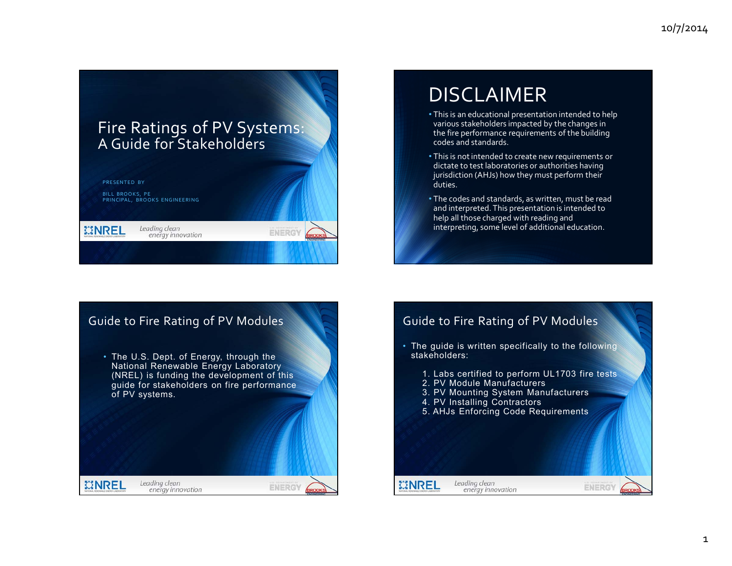## Fire Ratings of PV Systems: A Guide for Stakeholders



# DISCLAIMER

- This is an educational presentation intended to help various stakeholders impacted by the changes in the fire performance requirements of the building codes and standards.
- This is not intended to create new requirements or dictate to test laboratories or authorities having jurisdiction (AHJs) how they must perform their duties.
- The codes and standards, as written, must be read and interpreted. This presentation is intended to help all those charged with reading and interpreting, some level of additional education.



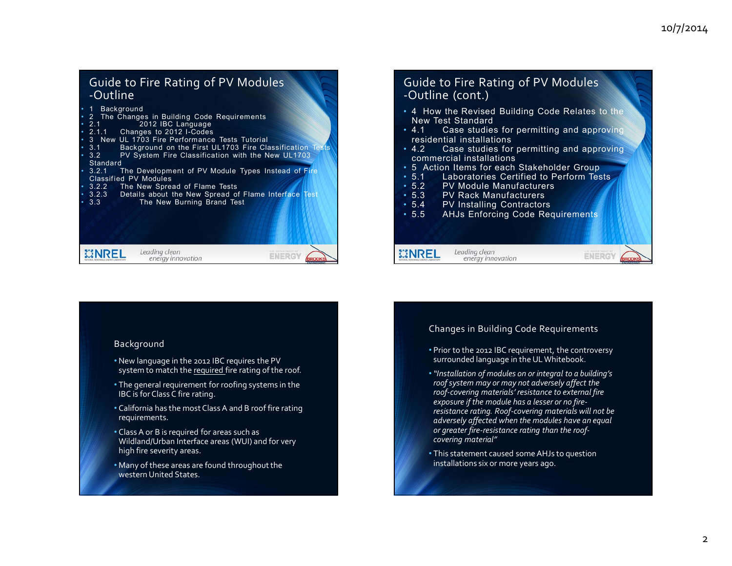## Guide to Fire Rating of PV Modules ‐Outline

| • 1 Background               |                                                              |  |  |  |  |  |
|------------------------------|--------------------------------------------------------------|--|--|--|--|--|
|                              | • 2 The Changes in Building Code Requirements                |  |  |  |  |  |
| $\cdot$ 2.1                  | 2012 IBC Language                                            |  |  |  |  |  |
|                              | • 2.1.1 Changes to 2012 I-Codes                              |  |  |  |  |  |
|                              | • 3 New UL 1703 Fire Performance Tests Tutorial              |  |  |  |  |  |
| $\cdot$ 3.1 $-$              | Background on the First UL1703 Fire Classification Tests     |  |  |  |  |  |
| $\cdot$ 3.2                  | PV System Fire Classification with the New UL1703            |  |  |  |  |  |
|                              | Standard                                                     |  |  |  |  |  |
| $\cdot$ 3.2.1                | The Development of PV Module Types Instead of Fire           |  |  |  |  |  |
| <b>Classified PV Modules</b> |                                                              |  |  |  |  |  |
|                              | • 3.2.2 The New Spread of Flame Tests                        |  |  |  |  |  |
|                              | • 3.2.3 Details about the New Spread of Flame Interface Test |  |  |  |  |  |
| $\cdot$ 3.3                  | The New Burning Brand Test                                   |  |  |  |  |  |
|                              |                                                              |  |  |  |  |  |
|                              | Leading clean<br>energy innovation                           |  |  |  |  |  |

## Guide to Fire Rating of PV Modules ‐Outline (cont.)

- 4 How the Revised Building Code Relates to the New Test Standard
- $4.1$ Case studies for permitting and approving residential installations
- 4.2 Case studies for permitting and approving •  $4.2$ commercial installations
- 5 Action Items for each Stakeholder Group
- $5.1$ Laboratories Certified to Perform Tests
- $5.2$ PV Module Manufacturers
- $5.3$ PV Rack Manufacturers
- $5.4$ 5.4 PV Installing Contractors

Leading clean

energy innovation

**MNREL** 

 $• 5.5$ AHJs Enforcing Code Requirements

#### Background

- New language in the <sup>2012</sup> IBC requires the PV system to match the required fire rating of the roof.
- The general requirement for roofing systems in the IBC is for Class C fire rating.
- California has the most Class A and B roof fire rating requirements.
- Class A or <sup>B</sup> is required for areas such as Wildland/Urban Interface areas (WUI) and for very high fire severity areas.
- $\bullet$  Many of these areas are found throughout the western United States.

#### Changes in Building Code Requirements

• Prior to the <sup>2012</sup> IBC requirement, the controversy surrounded language in the ULWhitebook.

**ENERGY** 

- •*"Installation of modules on or integral to <sup>a</sup> building's roofsystem may or may not adversely affect the roof‐covering materials' resistance to external fire exposure if the module has <sup>a</sup> lesser or no fire‐ resistance rating. Roof‐covering materials will not be adversely affected when the modules have an equal or greater fire‐resistance rating than the roof‐ covering material"*
- This statement caused someAHJs to question installations six or more years ago.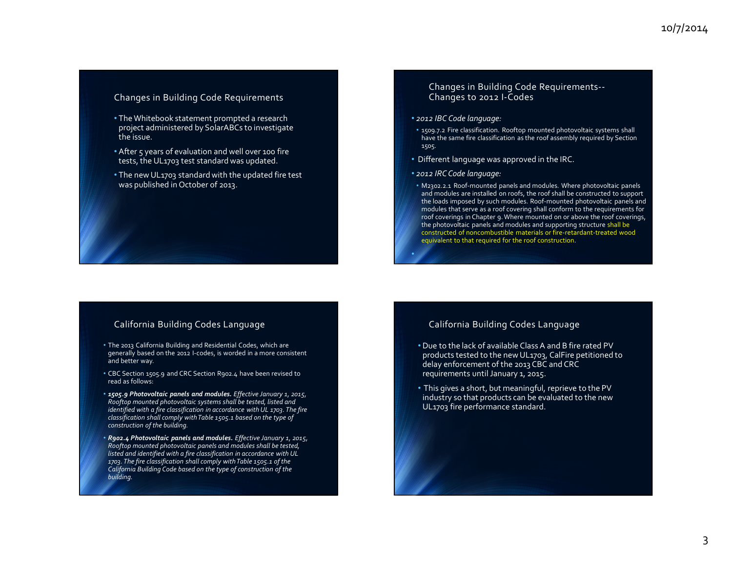#### Changes in Building Code Requirements

- $\bullet$  The Whitebook statement prompted a research project administered by SolarABCs to investigate the issue.
- After 5 years of evaluation and well over <sup>100</sup> fire tests, the UL1703 test standard was updated.
- The new UL1703 standard with the updated fire test was published in October of 2013.

## Changes in Building Code Requirements‐‐ Changes to <sup>2012</sup> <sup>I</sup>‐Codes

#### • *2012 IBC Code language:*

- 1509.7.2 Fire classification. Rooftop mounted photovoltaic systems shall have the same fire classification as the roof assembly required by Section 1505.
- Different language was approved in the IRC.
- *2012 IRCCode language:*
- M2302.2.1 Roof‐mounted panels and modules*.* Where photovoltaic panels and modules are installed on roofs, the roof shall be constructed to suppor<sup>t</sup> the loads imposed by such modules. Roof‐mounted photovoltaic panels and modules that serve as <sup>a</sup> roof covering shall conform to the requirements for roof coverings in Chapter 9.Where mounted on or above the roof coverings, the photovoltaic panels and modules and supporting structure shall be constructed of noncombustible materials or fire‐retardant‐treated wood equivalent to that required for the roof construction.

#### California Building Codes Language

- The 2013 California Building and Residential Codes, which are generally based on the <sup>2012</sup> <sup>I</sup>‐codes, is worded in <sup>a</sup> more consistent and better way.
- CBC Section 1505.9 and CRC Section R902.4 have been revised to read as follows:
- *1505.9 Photovoltaic panels and modules. Effective January 1, 2015, Rooftop mounted photovoltaic systems shall be tested, listed and identified with <sup>a</sup> fire classification in accordance with UL 1703. The fire classification shall comply withTable 1505.1 based on the type of construction of the building.*
- *R902.4 Photovoltaic panels and modules. Effective January 1, 2015, Rooftop mounted photovoltaic panels and modules shall be tested, listed and identified with <sup>a</sup> fire classification in accordance with UL 1703. The fire classification shall comply withTable 1505.1 of the California Building Code based on the type of construction of the building.*

#### California Building Codes Language

- Due to the lack of available Class A and B fire rated PV products tested to the new UL1703, CalFire petitioned to delay enforcement of the 2013 CBC and CRC requirements until January 1, 2015.
- This gives <sup>a</sup> short, but meaningful, reprieve to the PV industry so that products can be evaluated to the new UL1703 fire performance standard.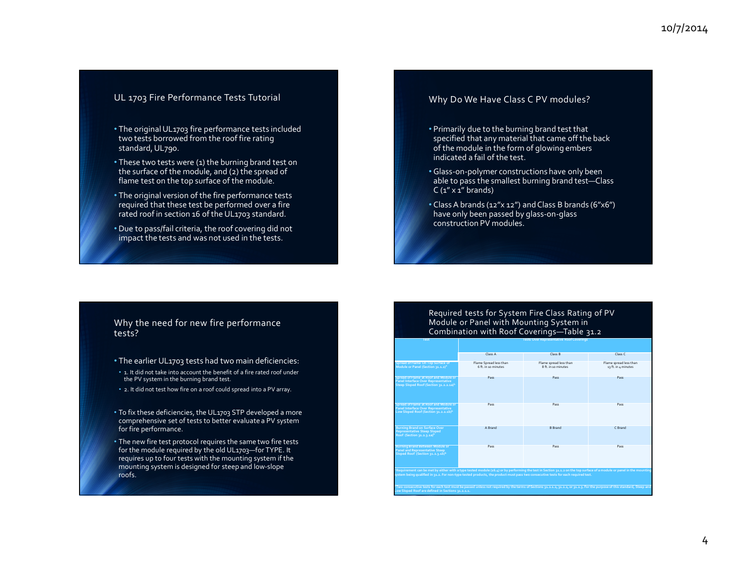#### UL 1703 Fire Performance Tests Tutorial

- The originalUL1703 fire performance tests included two tests borrowed from the roof fire rating standard, UL790.
- These two tests were (1) the burning brand test on the surface of the module, and (2) the spread of flame test on the top surface of the module.
- The original version of the fire performance tests required that these test be performed over <sup>a</sup> fire rated roof in section 16 ofthe UL1703 standard.
- Due to pass/fail criteria, the roof covering did not impact the tests and was not used in the tests.

#### Why Do We Have Class C PV modules?

- Primarily due to the burning brand test that specified that any material that came off the back of the module in the form of glowing embers indicated <sup>a</sup> fail of the test.
- Glass‐on‐polymer constructions have only been able to pass the smallest burning brand test—Class  $C(1'' \times 1''$  brands)
- Class A brands (12"x 12") and Class B brands (6"x6") have only been passed by glass‐on‐glass construction PV modules.

#### Why the need for new fire performance tests?

- The earlier UL1703 tests had two main deficiencies:
- 1. It did not take into account the benefit of <sup>a</sup> fire rated roof under the PV system in the burning brand test.
- 2. It did not test how fire on <sup>a</sup> roof could spread into <sup>a</sup> PV array.
- To fix these deficiencies, the UL1703 STP developed <sup>a</sup> more comprehensive set of tests to better evaluate <sup>a</sup> PV system for fire performance.
- The new fire test protocol requires the same two fire tests for the module required by the old UL1703—for TYPE. It requires up to four tests with the mounting system if the mounting system is designed for steep and low‐slope roofs.

#### Required tests for System Fire Class Rating of PV Module or Panel with Mounting System in Combination with Roof Coverings—Table 31.2

**Over Representative Roof Coverings**

**Test Tests**

|                                                                                                                                                                                                                                                                                                            | Class A                                      | Class B                                      | Class C                                       |  |  |  |  |
|------------------------------------------------------------------------------------------------------------------------------------------------------------------------------------------------------------------------------------------------------------------------------------------------------------|----------------------------------------------|----------------------------------------------|-----------------------------------------------|--|--|--|--|
| <b>Spread of Flame On Top Surface of</b><br>Module or Panel (Section 31.1.2) <sup>a</sup>                                                                                                                                                                                                                  | Flame Spread less than<br>6 ft in 10 minutes | Flame spread less than<br>8 ft in 10 minutes | Flame spread less than<br>13 ft. in 4 minutes |  |  |  |  |
| Spread of Flame at Roof and Module or<br>Panel Interface Over Representative<br>Steep Sloped Roof (Section 31.2.2.1a)b                                                                                                                                                                                     | Pass                                         | Pass                                         | Pass                                          |  |  |  |  |
| Spread of Flame at Roof and Module or<br>Panel Interface Over Representative<br>Low Sloped Roof (Section 31.2.2.1b)b                                                                                                                                                                                       | Pass                                         | Pass                                         | Pass                                          |  |  |  |  |
| <b>Burning Brand on Surface Over</b><br><b>Representative Steep Sloped</b><br>Roof (Section 31.2.3.1a)b                                                                                                                                                                                                    | A Brand                                      | <b>B</b> Brand                               | C Brand                                       |  |  |  |  |
| <b>Burning Brand Between Module or</b><br><b>Panel and Representative Steep</b><br>Sloped Roof (Section 31.2.3.1b)b                                                                                                                                                                                        | Pass                                         | Pass                                         | Pass                                          |  |  |  |  |
| Requirement can be met by either with a type tested module (16.4) or by performing the test in Section 31.1.2 on the top surface of a module or panel in the mounting<br>system being qualified in 31.2. For non-type tested products, the product must pass two consecutive tests for each required test. |                                              |                                              |                                               |  |  |  |  |
| Two consecutive tests for each test must be passed unless not required by the terms of Sections 31.2.1.2, 31.2.2, or 31.2.3, For the purpose of this standard, Steep and<br>Low Sloped Roof are defined in Sections 31.2.1.1.                                                                              |                                              |                                              |                                               |  |  |  |  |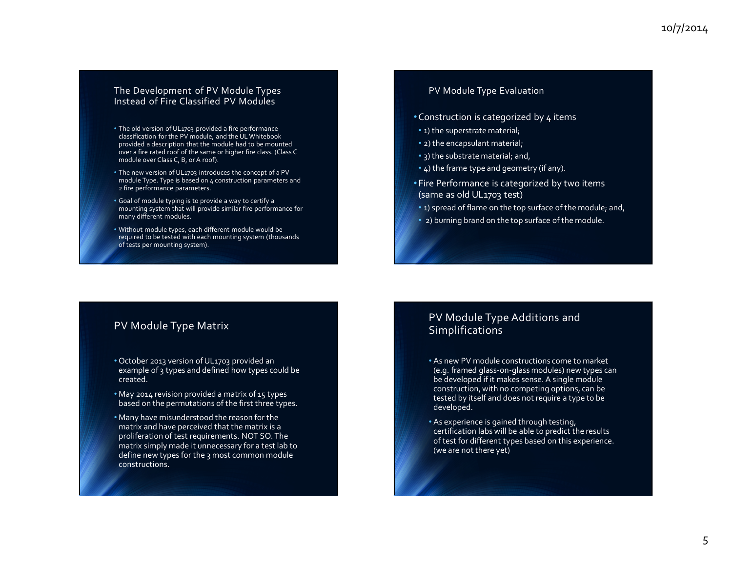#### The Development of PV Module Types Instead of Fire Classified PV Modules

- The old version of UL1703 provided <sup>a</sup> fire performance classification for the PV module, and the UL Whitebook provided <sup>a</sup> description that the module had to be mounted over a fire rated roof of the same or higher fire class. (Class C module over Class C, B, or A roof).
- The new version of UL1703 introduces the concep<sup>t</sup> of <sup>a</sup> PV module Type. Type is based on <sup>4</sup> construction parameters and 2 fire performance parameters.
- Goal of module typing is to provide <sup>a</sup> way to certify <sup>a</sup> mounting system that will provide similar fire performance for many different modules.
- Without module types, each different module would be required to be tested with each mounting system (thousands of tests per mounting system).

#### PV Module Type Evaluation

- $\bullet$  Construction is categorized by 4 items
- 1) the superstrate material;
- 2) the encapsulant material;
- 3) the substrate material; and,
- 4) the frame type and geometry (if any).
- •Fire Performance is categorized by two items (same as old UL1703 test)
- 1) spread of flame on the top surface of the module; and,
- 2) burning brand on the top surface of the module.

#### PV Module Type Matrix

- October 2013 version of UL1703 provided an example of 3 types and defined how types could be created.
- May 2014 revision provided <sup>a</sup> matrix of 15 types based on the permutations of the first three types.
- Many have misunderstood the reason for the matrix and have perceived that the matrix is <sup>a</sup> proliferation of test requirements. NOT SO. The matrix simply made it unnecessary for <sup>a</sup> test lab to define new types for the 3 most common module constructions.

#### PV Module Type Additions and Simplifications

- As new PV module constructions come to market (e.g. framed glass‐on‐glass modules) new types can be developed if it makes sense. <sup>A</sup> single module construction, with no competing options, can be tested by itself and does not require <sup>a</sup> type to be developed.
- As experience is gained through testing, certification labs will be able to predict the results of test for different types based on this experience. (we are not there yet)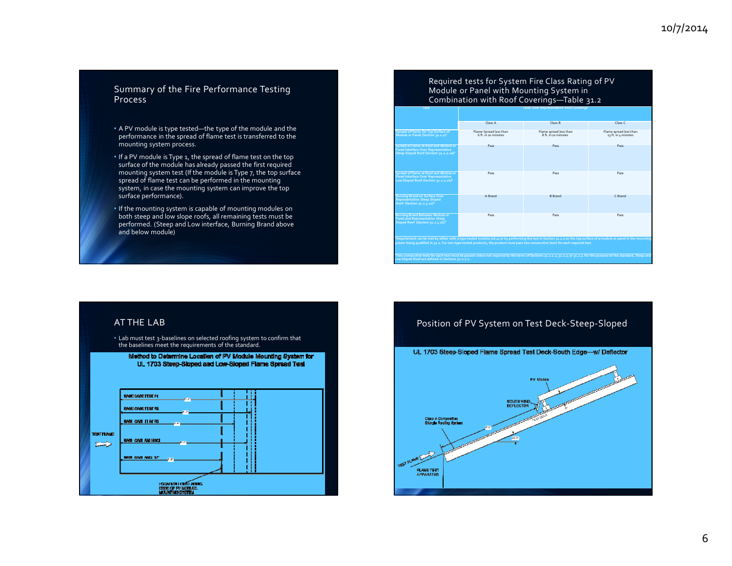#### Summary of the Fire Performance Testing Process

- A PV module is type tested—the type of the module and the performance in the spread of flame test is transferred to the mounting system process.
- If <sup>a</sup> PV module is Type 1, the spread of flame test on the top surface of the module has already passed the first required mounting system test (If the module is Type 7, the top surface spread of flame test can be performed in the mounting system, in case the mounting system can improve the top surface performance).
- If the mounting system is capable of mounting modules on both steep and low slope roofs, all remaining tests must be performed. (Steep and Low interface, Burning Brand above and below module)

## Required tests for System Fire Class Rating of PV Module or Panel with Mounting System in Combination with Roof Coverings—Table 31.2

| Test                                                                                                                                                                                                                         | <b>Tests Over Representative Roof Coverings</b> |                                                                                                                                                                                                                                                                                                            |                                               |  |  |  |
|------------------------------------------------------------------------------------------------------------------------------------------------------------------------------------------------------------------------------|-------------------------------------------------|------------------------------------------------------------------------------------------------------------------------------------------------------------------------------------------------------------------------------------------------------------------------------------------------------------|-----------------------------------------------|--|--|--|
|                                                                                                                                                                                                                              | Class A                                         | Class <sub>B</sub>                                                                                                                                                                                                                                                                                         | Class <sub>C</sub>                            |  |  |  |
| Spread of Flame On Top Surface of<br>Module or Panel (Section 31.1.2) <sup>a</sup>                                                                                                                                           | Flame Spread less than<br>6 ft in 10 minutes    | Flame spread less than<br>8ft in 10 minutes                                                                                                                                                                                                                                                                | Flame spread less than<br>13 ft. in 4 minutes |  |  |  |
| Spread of Flame at Roof and Module or<br>Panel Interface Over Representative<br>Steep Sloped Roof (Section 31.2.2.1a)b                                                                                                       | Pass                                            | Pass                                                                                                                                                                                                                                                                                                       | Pass                                          |  |  |  |
| Spread of Flame at Roof and Module or<br>Panel Interface Over Representative<br>Low Sloped Roof (Section 31.2.2.1b)b                                                                                                         | Pass                                            | Pass                                                                                                                                                                                                                                                                                                       | Pass                                          |  |  |  |
| <b>Burning Brand on Surface Over</b><br><b>Representative Steep Sloped</b><br>Roof (Section 31.2.3.1a) <sup>b</sup>                                                                                                          | A Brand                                         | <b>B</b> Brand                                                                                                                                                                                                                                                                                             | C Brand                                       |  |  |  |
| <b>Burning Brand Between Module or</b><br><b>Panel and Representative Steep</b><br>Sloped Roof (Section 31.2.3.1b)b                                                                                                          | Pass                                            | Pass                                                                                                                                                                                                                                                                                                       | Pass                                          |  |  |  |
|                                                                                                                                                                                                                              |                                                 | Requirement can be met by either with a type tested module (16.4) or by performing the test in Section 31.1.2 on the top surface of a module or panel in the mounting<br>iystem being qualified in 31.2. For non-type tested products, the product must pass two consecutive tests for each required test. |                                               |  |  |  |
| Two consecutive tests for each test must be passed unless not required by the terms of Sections 31.2.1.2, 31.2.2, or 31.2.3, For the purpose of this standard, Steep and<br>ow Sloped Roof are defined in Sections 31.2.1.1. |                                                 |                                                                                                                                                                                                                                                                                                            |                                               |  |  |  |

#### AT THE LAB



• Lab must test 3‐baselines on selected roofing system to confirm that

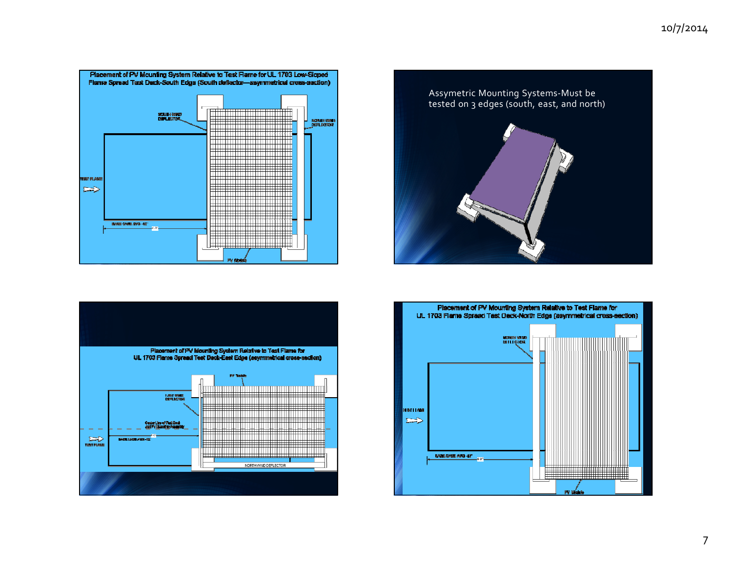## 10/7/2014







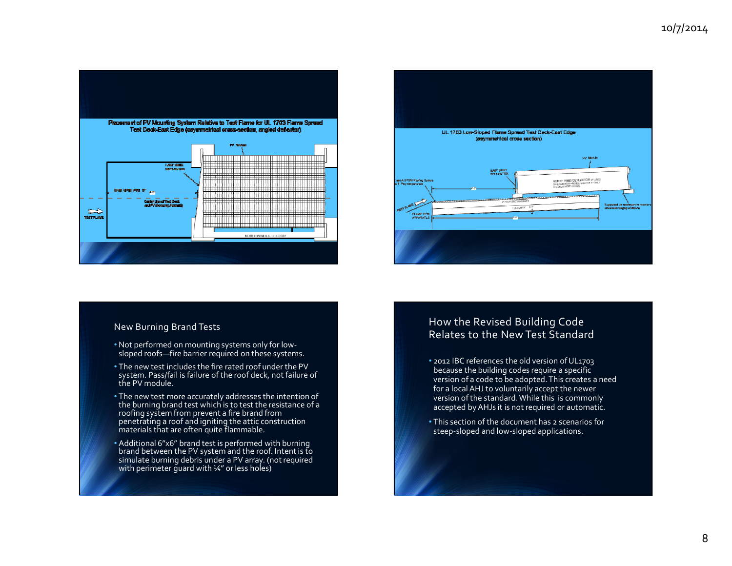

# UL 1703 Low-Sloped Flame Spread Test Deck-East Edge (asymmetrical cross section) ing stort to EAST WAD NORTH VAND DEFLECTOR (F USED<br>ONENCH NOW-NU DEFLECTOR IT ONLY<br>USED US NORTH ROW A EPOW Roafied S m. **FLAKE TES**

#### New Burning Brand Tests

- Not performed on mounting systems only for low‐ sloped roofs—fire barrier required on these systems.
- The new test includes the fire rated roof under the PV system. Pass/fail is failure of the roof deck, not failure of the PV module.
- The new test more accurately addresses the intention of the burning brand test which is to test the resistance of <sup>a</sup> roofing system from preven<sup>t</sup> <sup>a</sup> fire brand from penetrating <sup>a</sup> roof and igniting the attic construction materials that are often quite flammable.
- Additional 6"x6" brand test is performed with burning brand between the PV system and the roof. Intentis to simulate burning debris under <sup>a</sup> PV array. (notrequired with perimeter guard with ¼" or less holes)

### How the Revised Building Code Relates to the New Test Standard

- 2012 IBC references the old version of UL1703 because the building codes require <sup>a</sup> specific version of <sup>a</sup> code to be adopted.This creates <sup>a</sup> need for a localAHJ to voluntarily accep<sup>t</sup> the newer version ofthe standard.While this is commonly accepted byAHJs it is not required or automatic.
- This section of the document has <sup>2</sup> scenarios for steep‐sloped and low‐sloped applications.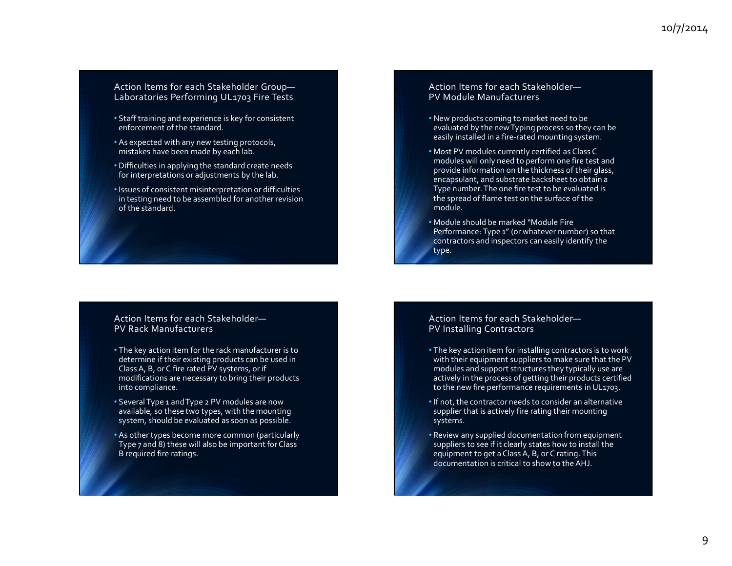#### Action Items for each Stakeholder Group— Laboratories Performing UL1703 Fire Tests

- Staff training and experience is key for consistent enforcement of the standard.
- As expected with any new testing protocols, mistakes have been made by each lab.
- Difficulties in applying the standard create needs for interpretations or adjustments by the lab.
- Issues of consistent misinterpretation or difficulties in testing need to be assembled for another revision of the standard.

#### Action Items for each Stakeholder—PV Rack Manufacturers

- The key action item for the rack manufacturer is to determine if their existing products can be used in Class A, B, or C fire rated PV systems, or if modifications are necessary to bring their products into compliance.
- Several Type <sup>1</sup> andType <sup>2</sup> PV modules are now available, so these two types, with the mounting system, should be evaluated as soon as possible.
- As other types become more common (particularly Type 7 and 8) these will also be important for Class B required fire ratings.

#### Action Items for each Stakeholder—PV Module Manufacturers

- New products coming to market need to be evaluated by the newTyping process so they can be easily installed in a fire-rated mounting system.
- Most PV modules currently certified as Class C modules will only need to perform one fire test and provide information on the thickness of their glass, encapsulant, and substrate backsheet to obtain <sup>a</sup> Type number. The one fire test to be evaluated is the spread of flame test on the surface of the module.
- Module should be marked "Module Fire Performance: Type <sup>1</sup>" (or whatever number) so that contractors and inspectors can easily identify the type.

#### Action Items for each Stakeholder—PV Installing Contractors

- The key action item for installing contractors is to work with their equipment suppliers to make sure that the PV modules and suppor<sup>t</sup> structures they typically use are actively in the process of getting their products certified to the new fire performance requirements in UL1703.
- $\bullet$  If not, the contractor needs to consider an alternative supplier that is actively fire rating their mounting systems.
- Review any supplied documentation from equipment suppliers to see if it clearly states how to install the equipment to ge<sup>t</sup> <sup>a</sup> Class A, B, or C rating.This documentation is critical to show to theAHJ.